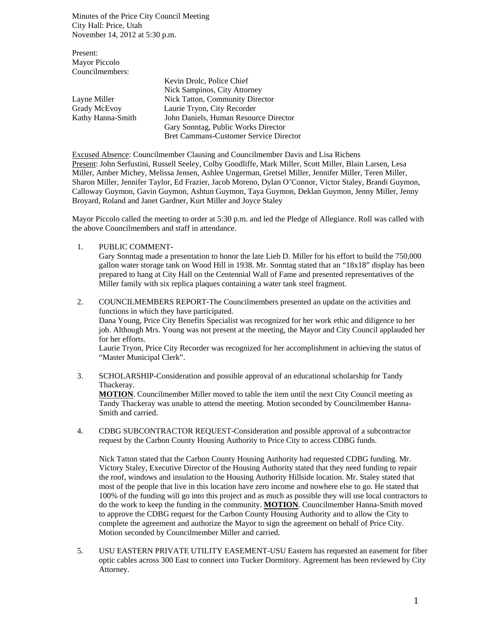Minutes of the Price City Council Meeting City Hall: Price, Utah November 14, 2012 at 5:30 p.m.

Present: Mayor Piccolo Councilmembers:

|                   | Kevin Drolc, Police Chief                     |
|-------------------|-----------------------------------------------|
|                   | Nick Sampinos, City Attorney                  |
| Layne Miller      | Nick Tatton, Community Director               |
| Grady McEvoy      | Laurie Tryon, City Recorder                   |
| Kathy Hanna-Smith | John Daniels, Human Resource Director         |
|                   | Gary Sonntag, Public Works Director           |
|                   | <b>Bret Cammans-Customer Service Director</b> |

Excused Absence: Councilmember Clausing and Councilmember Davis and Lisa Richens Present: John Serfustini, Russell Seeley, Colby Goodliffe, Mark Miller, Scott Miller, Blain Larsen, Lesa Miller, Amber Michey, Melissa Jensen, Ashlee Ungerman, Gretsel Miller, Jennifer Miller, Teren Miller, Sharon Miller, Jennifer Taylor, Ed Frazier, Jacob Moreno, Dylan O'Connor, Victor Staley, Brandi Guymon, Calloway Guymon, Gavin Guymon, Ashtun Guymon, Taya Guymon, Deklan Guymon, Jenny Miller, Jenny Broyard, Roland and Janet Gardner, Kurt Miller and Joyce Staley

Mayor Piccolo called the meeting to order at 5:30 p.m. and led the Pledge of Allegiance. Roll was called with the above Councilmembers and staff in attendance.

1. PUBLIC COMMENT-

Gary Sonntag made a presentation to honor the late Lieb D. Miller for his effort to build the 750,000 gallon water storage tank on Wood Hill in 1938. Mr. Sonntag stated that an "18x18" display has been prepared to hang at City Hall on the Centennial Wall of Fame and presented representatives of the Miller family with six replica plaques containing a water tank steel fragment.

- 2. COUNCILMEMBERS REPORT-The Councilmembers presented an update on the activities and functions in which they have participated. Dana Young, Price City Benefits Specialist was recognized for her work ethic and diligence to her job. Although Mrs. Young was not present at the meeting, the Mayor and City Council applauded her for her efforts. Laurie Tryon, Price City Recorder was recognized for her accomplishment in achieving the status of "Master Municipal Clerk".
- 3. SCHOLARSHIP-Consideration and possible approval of an educational scholarship for Tandy Thackeray. **MOTION**. Councilmember Miller moved to table the item until the next City Council meeting as

Tandy Thackeray was unable to attend the meeting. Motion seconded by Councilmember Hanna-Smith and carried.

4. CDBG SUBCONTRACTOR REQUEST-Consideration and possible approval of a subcontractor request by the Carbon County Housing Authority to Price City to access CDBG funds.

Nick Tatton stated that the Carbon County Housing Authority had requested CDBG funding. Mr. Victory Staley, Executive Director of the Housing Authority stated that they need funding to repair the roof, windows and insulation to the Housing Authority Hillside location. Mr. Staley stated that most of the people that live in this location have zero income and nowhere else to go. He stated that 100% of the funding will go into this project and as much as possible they will use local contractors to do the work to keep the funding in the community. **MOTION**. Councilmember Hanna-Smith moved to approve the CDBG request for the Carbon County Housing Authority and to allow the City to complete the agreement and authorize the Mayor to sign the agreement on behalf of Price City. Motion seconded by Councilmember Miller and carried.

5. USU EASTERN PRIVATE UTILITY EASEMENT-USU Eastern has requested an easement for fiber optic cables across 300 East to connect into Tucker Dormitory. Agreement has been reviewed by City Attorney.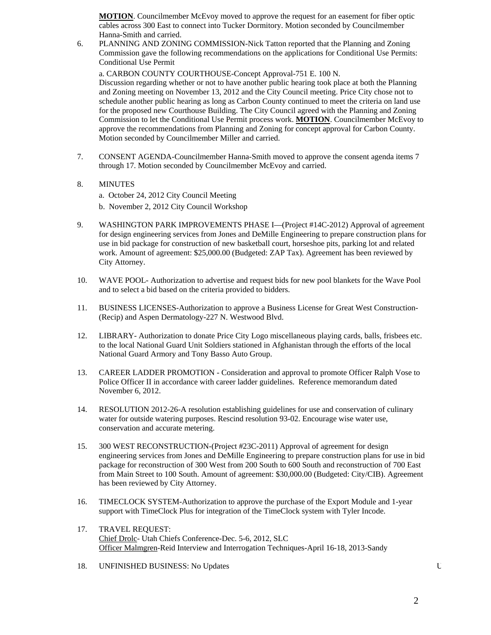**MOTION**. Councilmember McEvoy moved to approve the request for an easement for fiber optic cables across 300 East to connect into Tucker Dormitory. Motion seconded by Councilmember Hanna-Smith and carried.

6. PLANNING AND ZONING COMMISSION-Nick Tatton reported that the Planning and Zoning Commission gave the following recommendations on the applications for Conditional Use Permits: Conditional Use Permit

a. CARBON COUNTY COURTHOUSE-Concept Approval-751 E. 100 N.

Discussion regarding whether or not to have another public hearing took place at both the Planning and Zoning meeting on November 13, 2012 and the City Council meeting. Price City chose not to schedule another public hearing as long as Carbon County continued to meet the criteria on land use for the proposed new Courthouse Building. The City Council agreed with the Planning and Zoning Commission to let the Conditional Use Permit process work. **MOTION**. Councilmember McEvoy to approve the recommendations from Planning and Zoning for concept approval for Carbon County. Motion seconded by Councilmember Miller and carried.

- 7. CONSENT AGENDA-Councilmember Hanna-Smith moved to approve the consent agenda items 7 through 17. Motion seconded by Councilmember McEvoy and carried.
- 8. MINUTES
	- a. October 24, 2012 City Council Meeting
	- b. November 2, 2012 City Council Workshop
- 9. WASHINGTON PARK IMPROVEMENTS PHASE I—(Project #14C-2012) Approval of agreement for design engineering services from Jones and DeMille Engineering to prepare construction plans for use in bid package for construction of new basketball court, horseshoe pits, parking lot and related work. Amount of agreement: \$25,000.00 (Budgeted: ZAP Tax). Agreement has been reviewed by City Attorney.
- 10. WAVE POOL- Authorization to advertise and request bids for new pool blankets for the Wave Pool and to select a bid based on the criteria provided to bidders.
- 11. BUSINESS LICENSES-Authorization to approve a Business License for Great West Construction- (Recip) and Aspen Dermatology-227 N. Westwood Blvd.
- 12. LIBRARY- Authorization to donate Price City Logo miscellaneous playing cards, balls, frisbees etc. to the local National Guard Unit Soldiers stationed in Afghanistan through the efforts of the local National Guard Armory and Tony Basso Auto Group.
- 13. CAREER LADDER PROMOTION Consideration and approval to promote Officer Ralph Vose to Police Officer II in accordance with career ladder guidelines. Reference memorandum dated November 6, 2012.
- 14. RESOLUTION 2012-26-A resolution establishing guidelines for use and conservation of culinary water for outside watering purposes. Rescind resolution 93-02. Encourage wise water use, conservation and accurate metering.
- 15. 300 WEST RECONSTRUCTION-(Project #23C-2011) Approval of agreement for design engineering services from Jones and DeMille Engineering to prepare construction plans for use in bid package for reconstruction of 300 West from 200 South to 600 South and reconstruction of 700 East from Main Street to 100 South. Amount of agreement: \$30,000.00 (Budgeted: City/CIB). Agreement has been reviewed by City Attorney.
- 16. TIMECLOCK SYSTEM-Authorization to approve the purchase of the Export Module and 1-year support with TimeClock Plus for integration of the TimeClock system with Tyler Incode.
- 17. TRAVEL REQUEST: Chief Drolc- Utah Chiefs Conference-Dec. 5-6, 2012, SLC Officer Malmgren-Reid Interview and Interrogation Techniques-April 16-18, 2013-Sandy
- 18. UNFINISHED BUSINESS: No Updates U